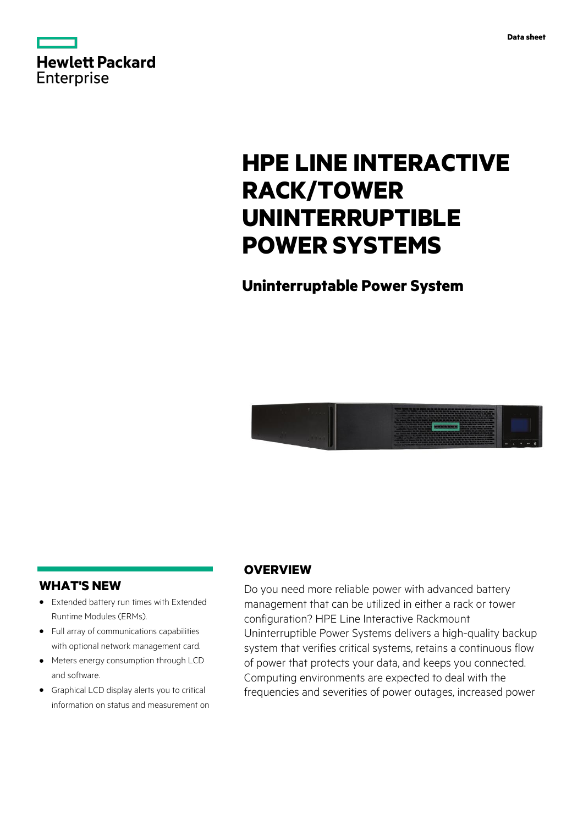



# **HPE LINE INTERACTIVE RACK/TOWER UNINTERRUPTIBLE POWER SYSTEMS**

## **Uninterruptable Power System**



### **WHAT'S NEW**

- **·** Extended battery run times with Extended Runtime Modules (ERMs).
- **·** Full array of communications capabilities with optional network management card.
- **·** Meters energy consumption through LCD and software.
- **·** Graphical LCD display alerts you to critical information on status and measurement on

### **OVERVIEW**

Do you need more reliable power with advanced battery management that can be utilized in either a rack or tower configuration? HPE Line Interactive Rackmount Uninterruptible Power Systems delivers a high-quality backup system that verifies critical systems, retains a continuous flow of power that protects your data, and keeps you connected. Computing environments are expected to deal with the frequencies and severities of power outages, increased power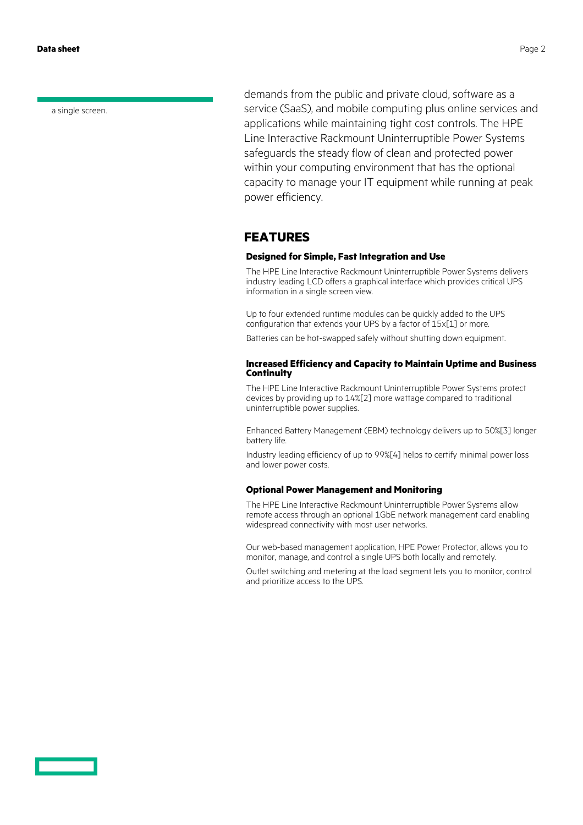**Data sheet** Page 2

a single screen.

demands from the public and private cloud, software as a service (SaaS), and mobile computing plus online services and applications while maintaining tight cost controls. The HPE Line Interactive Rackmount Uninterruptible Power Systems safeguards the steady flow of clean and protected power within your computing environment that has the optional capacity to manage your IT equipment while running at peak power efficiency.

### **FEATURES**

#### **Designed for Simple, Fast Integration and Use**

The HPE Line Interactive Rackmount Uninterruptible Power Systems delivers industry leading LCD offers a graphical interface which provides critical UPS information in a single screen view.

Up to four extended runtime modules can be quickly added to the UPS configuration that extends your UPS by a factor of 15x[1] or more.

Batteries can be hot-swapped safely without shutting down equipment.

#### **Increased Efficiency and Capacity to Maintain Uptime and Business Continuity**

The HPE Line Interactive Rackmount Uninterruptible Power Systems protect devices by providing up to 14%[2] more wattage compared to traditional uninterruptible power supplies.

Enhanced Battery Management (EBM) technology delivers up to 50%[3] longer battery life.

Industry leading efficiency of up to 99%[4] helps to certify minimal power loss and lower power costs.

#### **Optional Power Management and Monitoring**

The HPE Line Interactive Rackmount Uninterruptible Power Systems allow remote access through an optional 1GbE network management card enabling widespread connectivity with most user networks.

Our web-based management application, HPE Power Protector, allows you to monitor, manage, and control a single UPS both locally and remotely.

Outlet switching and metering at the load segment lets you to monitor, control and prioritize access to the UPS.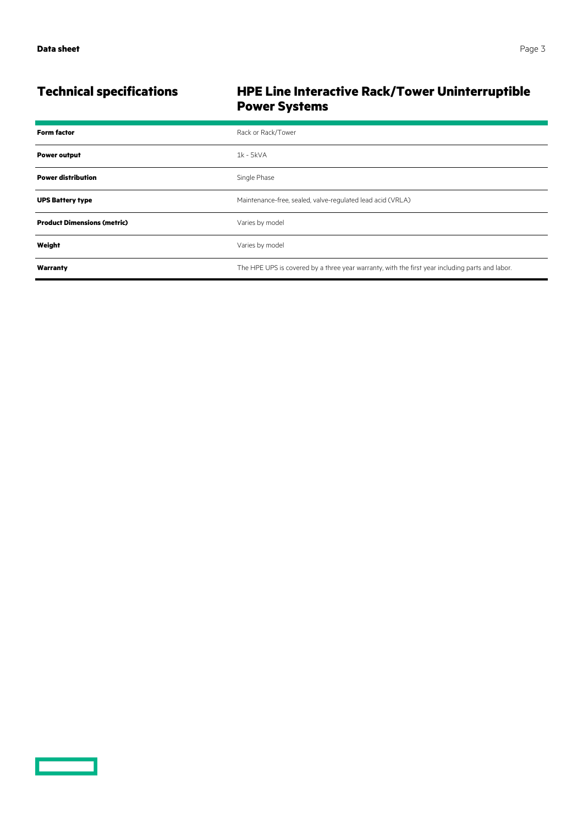<u>and the second part of the second part of the second part of the second part of the second part of the second part of the second part of the second part of the second part of the second part of the second part of the seco</u>

### **Technical specifications HPE Line Interactive Rack/Tower Uninterruptible Power Systems**

| <b>Form factor</b>                 | Rack or Rack/Tower                                                                              |
|------------------------------------|-------------------------------------------------------------------------------------------------|
| <b>Power output</b>                | $1k - 5kVA$                                                                                     |
| <b>Power distribution</b>          | Single Phase                                                                                    |
| <b>UPS Battery type</b>            | Maintenance-free, sealed, valve-regulated lead acid (VRLA)                                      |
| <b>Product Dimensions (metric)</b> | Varies by model                                                                                 |
| Weight                             | Varies by model                                                                                 |
| Warranty                           | The HPE UPS is covered by a three year warranty, with the first year including parts and labor. |